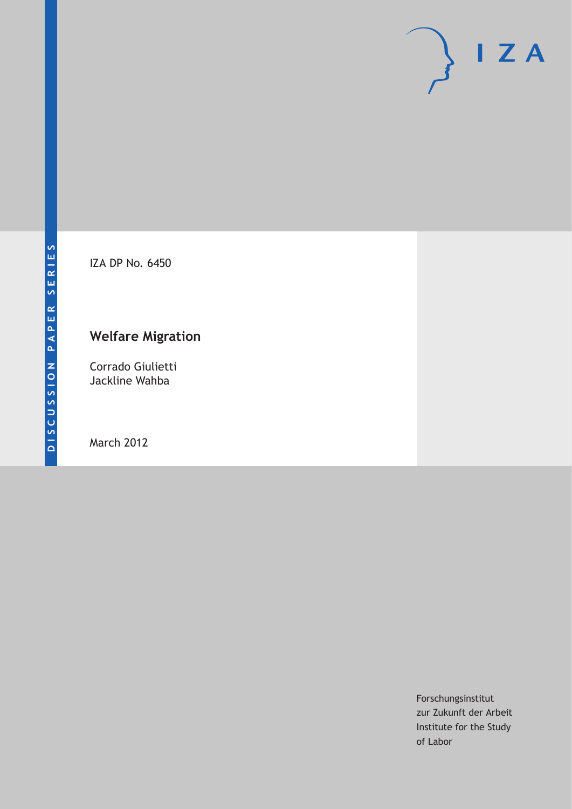

IZA DP No. 6450

## **Welfare Migration**

Corrado Giulietti Jackline Wahba

March 2012

Forschungsinstitut zur Zukunft der Arbeit Institute for the Study of Labor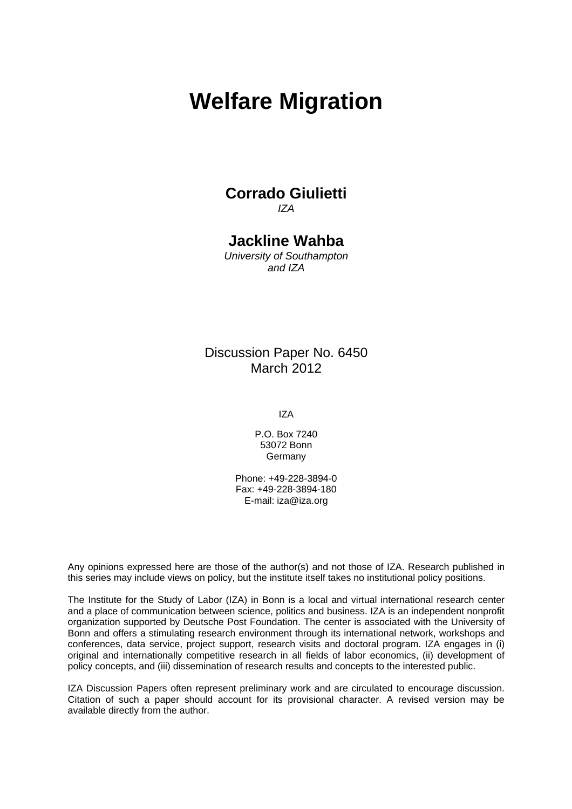# **Welfare Migration**

#### **Corrado Giulietti**  *IZA*

#### **Jackline Wahba**

*University of Southampton and IZA* 

#### Discussion Paper No. 6450 March 2012

IZA

P.O. Box 7240 53072 Bonn Germany

Phone: +49-228-3894-0 Fax: +49-228-3894-180 E-mail: [iza@iza.org](mailto:iza@iza.org)

Any opinions expressed here are those of the author(s) and not those of IZA. Research published in this series may include views on policy, but the institute itself takes no institutional policy positions.

The Institute for the Study of Labor (IZA) in Bonn is a local and virtual international research center and a place of communication between science, politics and business. IZA is an independent nonprofit organization supported by Deutsche Post Foundation. The center is associated with the University of Bonn and offers a stimulating research environment through its international network, workshops and conferences, data service, project support, research visits and doctoral program. IZA engages in (i) original and internationally competitive research in all fields of labor economics, (ii) development of policy concepts, and (iii) dissemination of research results and concepts to the interested public.

IZA Discussion Papers often represent preliminary work and are circulated to encourage discussion. Citation of such a paper should account for its provisional character. A revised version may be available directly from the author.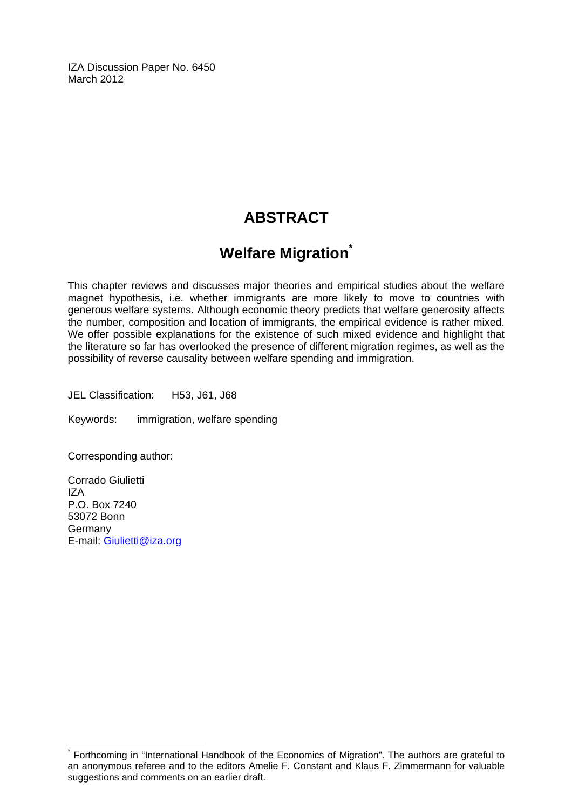IZA Discussion Paper No. 6450 March 2012

## **ABSTRACT**

## **Welfare Migration[\\*](#page-2-0)**

This chapter reviews and discusses major theories and empirical studies about the welfare magnet hypothesis, i.e. whether immigrants are more likely to move to countries with generous welfare systems. Although economic theory predicts that welfare generosity affects the number, composition and location of immigrants, the empirical evidence is rather mixed. We offer possible explanations for the existence of such mixed evidence and highlight that the literature so far has overlooked the presence of different migration regimes, as well as the possibility of reverse causality between welfare spending and immigration.

JEL Classification: H53, J61, J68

Keywords: immigration, welfare spending

Corresponding author:

Corrado Giulietti IZA P.O. Box 7240 53072 Bonn Germany E-mail: [Giulietti@iza.org](mailto:Giulietti@iza.org)

 $\overline{a}$ 

<span id="page-2-0"></span><sup>\*</sup> Forthcoming in "International Handbook of the Economics of Migration". The authors are grateful to an anonymous referee and to the editors Amelie F. Constant and Klaus F. Zimmermann for valuable suggestions and comments on an earlier draft.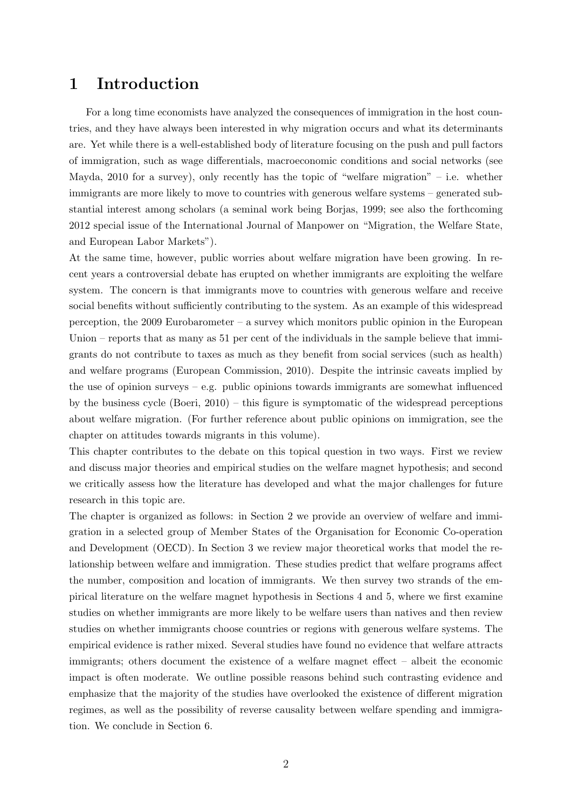### 1 Introduction

For a long time economists have analyzed the consequences of immigration in the host countries, and they have always been interested in why migration occurs and what its determinants are. Yet while there is a well-established body of literature focusing on the push and pull factors of immigration, such as wage differentials, macroeconomic conditions and social networks (see [Mayda,](#page-18-0) [2010](#page-18-0) for a survey), only recently has the topic of "welfare migration" – i.e. whether immigrants are more likely to move to countries with generous welfare systems – generated substantial interest among scholars (a seminal work being [Borjas,](#page-17-0) [1999;](#page-17-0) see also the forthcoming 2012 special issue of the International Journal of Manpower on "Migration, the Welfare State, and European Labor Markets").

At the same time, however, public worries about welfare migration have been growing. In recent years a controversial debate has erupted on whether immigrants are exploiting the welfare system. The concern is that immigrants move to countries with generous welfare and receive social benefits without sufficiently contributing to the system. As an example of this widespread perception, the 2009 Eurobarometer – a survey which monitors public opinion in the European Union – reports that as many as 51 per cent of the individuals in the sample believe that immigrants do not contribute to taxes as much as they benefit from social services (such as health) and welfare programs [\(European Commission,](#page-18-1) [2010\)](#page-18-1). Despite the intrinsic caveats implied by the use of opinion surveys  $-$  e.g. public opinions towards immigrants are somewhat influenced by the business cycle [\(Boeri,](#page-17-1) [2010\)](#page-17-1) – this figure is symptomatic of the widespread perceptions about welfare migration. (For further reference about public opinions on immigration, see the chapter on attitudes towards migrants in this volume).

This chapter contributes to the debate on this topical question in two ways. First we review and discuss major theories and empirical studies on the welfare magnet hypothesis; and second we critically assess how the literature has developed and what the major challenges for future research in this topic are.

The chapter is organized as follows: in Section 2 we provide an overview of welfare and immigration in a selected group of Member States of the Organisation for Economic Co-operation and Development (OECD). In Section 3 we review major theoretical works that model the relationship between welfare and immigration. These studies predict that welfare programs affect the number, composition and location of immigrants. We then survey two strands of the empirical literature on the welfare magnet hypothesis in Sections 4 and 5, where we first examine studies on whether immigrants are more likely to be welfare users than natives and then review studies on whether immigrants choose countries or regions with generous welfare systems. The empirical evidence is rather mixed. Several studies have found no evidence that welfare attracts immigrants; others document the existence of a welfare magnet effect – albeit the economic impact is often moderate. We outline possible reasons behind such contrasting evidence and emphasize that the majority of the studies have overlooked the existence of different migration regimes, as well as the possibility of reverse causality between welfare spending and immigration. We conclude in Section 6.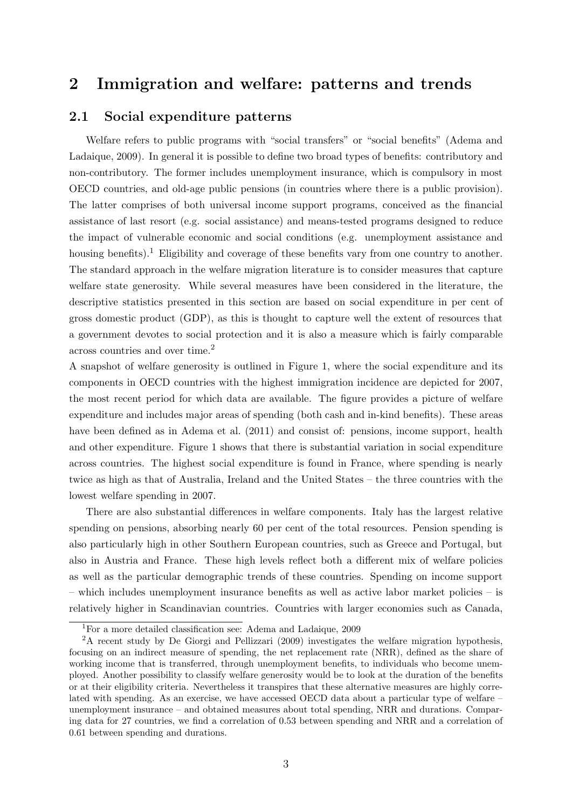### 2 Immigration and welfare: patterns and trends

#### 2.1 Social expenditure patterns

Welfare refers to public programs with "social transfers" or "social benefits" [\(Adema and](#page-17-2) [Ladaique,](#page-17-2) [2009\)](#page-17-2). In general it is possible to define two broad types of benefits: contributory and non-contributory. The former includes unemployment insurance, which is compulsory in most OECD countries, and old-age public pensions (in countries where there is a public provision). The latter comprises of both universal income support programs, conceived as the financial assistance of last resort (e.g. social assistance) and means-tested programs designed to reduce the impact of vulnerable economic and social conditions (e.g. unemployment assistance and housing benefits).<sup>[1](#page-4-0)</sup> Eligibility and coverage of these benefits vary from one country to another. The standard approach in the welfare migration literature is to consider measures that capture welfare state generosity. While several measures have been considered in the literature, the descriptive statistics presented in this section are based on social expenditure in per cent of gross domestic product (GDP), as this is thought to capture well the extent of resources that a government devotes to social protection and it is also a measure which is fairly comparable across countries and over time.[2](#page-4-1)

A snapshot of welfare generosity is outlined in Figure [1,](#page-5-0) where the social expenditure and its components in OECD countries with the highest immigration incidence are depicted for 2007, the most recent period for which data are available. The figure provides a picture of welfare expenditure and includes major areas of spending (both cash and in-kind benefits). These areas have been defined as in [Adema et al.](#page-17-3) [\(2011\)](#page-17-3) and consist of: pensions, income support, health and other expenditure. Figure [1](#page-5-0) shows that there is substantial variation in social expenditure across countries. The highest social expenditure is found in France, where spending is nearly twice as high as that of Australia, Ireland and the United States – the three countries with the lowest welfare spending in 2007.

There are also substantial differences in welfare components. Italy has the largest relative spending on pensions, absorbing nearly 60 per cent of the total resources. Pension spending is also particularly high in other Southern European countries, such as Greece and Portugal, but also in Austria and France. These high levels reflect both a different mix of welfare policies as well as the particular demographic trends of these countries. Spending on income support – which includes unemployment insurance benefits as well as active labor market policies – is relatively higher in Scandinavian countries. Countries with larger economies such as Canada,

<span id="page-4-1"></span><span id="page-4-0"></span><sup>1</sup>For a more detailed classification see: [Adema and Ladaique,](#page-17-2) [2009](#page-17-2)

<sup>&</sup>lt;sup>2</sup>A recent study by [De Giorgi and Pellizzari](#page-17-4) [\(2009\)](#page-17-4) investigates the welfare migration hypothesis, focusing on an indirect measure of spending, the net replacement rate (NRR), defined as the share of working income that is transferred, through unemployment benefits, to individuals who become unemployed. Another possibility to classify welfare generosity would be to look at the duration of the benefits or at their eligibility criteria. Nevertheless it transpires that these alternative measures are highly correlated with spending. As an exercise, we have accessed OECD data about a particular type of welfare – unemployment insurance – and obtained measures about total spending, NRR and durations. Comparing data for 27 countries, we find a correlation of 0.53 between spending and NRR and a correlation of 0.61 between spending and durations.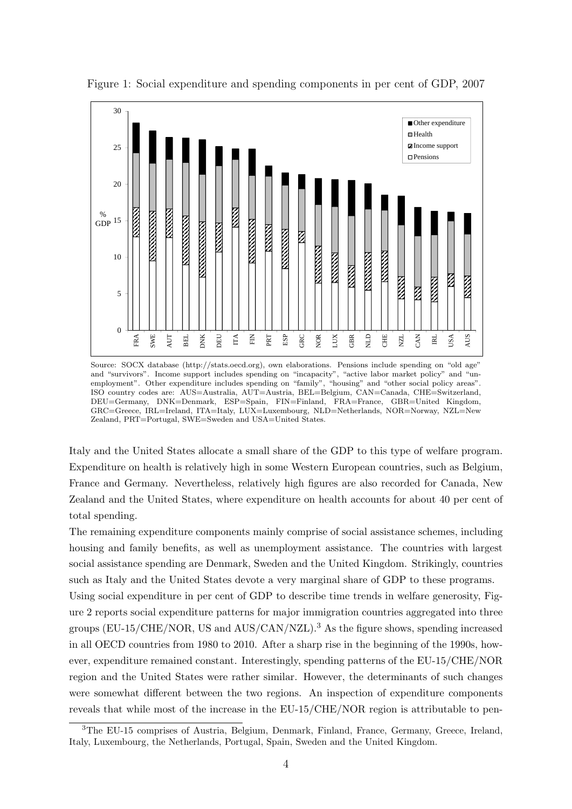

<span id="page-5-0"></span>Figure 1: Social expenditure and spending components in per cent of GDP, 2007

Source: SOCX database [\(http://stats.oecd.org\)](http://stats.oecd.org), own elaborations. Pensions include spending on "old age" and "survivors". Income support includes spending on "incapacity", "active labor market policy" and "unemployment". Other expenditure includes spending on "family", "housing" and "other social policy areas". ISO country codes are: AUS=Australia, AUT=Austria, BEL=Belgium, CAN=Canada, CHE=Switzerland, DEU=Germany, DNK=Denmark, ESP=Spain, FIN=Finland, FRA=France, GBR=United Kingdom, GRC=Greece, IRL=Ireland, ITA=Italy, LUX=Luxembourg, NLD=Netherlands, NOR=Norway, NZL=New Zealand, PRT=Portugal, SWE=Sweden and USA=United States.

Italy and the United States allocate a small share of the GDP to this type of welfare program. Expenditure on health is relatively high in some Western European countries, such as Belgium, France and Germany. Nevertheless, relatively high figures are also recorded for Canada, New Zealand and the United States, where expenditure on health accounts for about 40 per cent of total spending.

The remaining expenditure components mainly comprise of social assistance schemes, including housing and family benefits, as well as unemployment assistance. The countries with largest social assistance spending are Denmark, Sweden and the United Kingdom. Strikingly, countries such as Italy and the United States devote a very marginal share of GDP to these programs.

Using social expenditure in per cent of GDP to describe time trends in welfare generosity, Figure [2](#page-6-0) reports social expenditure patterns for major immigration countries aggregated into three groups  $(EU-15/CHE/NOR, US and AUS/CAN/NZL).$ <sup>[3](#page-5-1)</sup> As the figure shows, spending increased in all OECD countries from 1980 to 2010. After a sharp rise in the beginning of the 1990s, however, expenditure remained constant. Interestingly, spending patterns of the EU-15/CHE/NOR region and the United States were rather similar. However, the determinants of such changes were somewhat different between the two regions. An inspection of expenditure components reveals that while most of the increase in the EU-15/CHE/NOR region is attributable to pen-

<span id="page-5-1"></span><sup>3</sup>The EU-15 comprises of Austria, Belgium, Denmark, Finland, France, Germany, Greece, Ireland, Italy, Luxembourg, the Netherlands, Portugal, Spain, Sweden and the United Kingdom.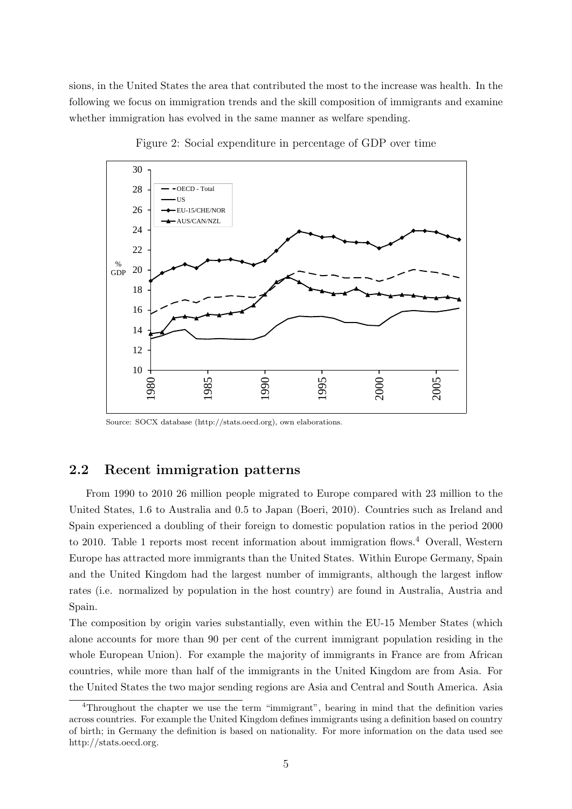sions, in the United States the area that contributed the most to the increase was health. In the following we focus on immigration trends and the skill composition of immigrants and examine whether immigration has evolved in the same manner as welfare spending.

<span id="page-6-0"></span>



Source: SOCX database [\(http://stats.oecd.org\)](http://stats.oecd.org), own elaborations.

#### 2.2 Recent immigration patterns

From 1990 to 2010 26 million people migrated to Europe compared with 23 million to the United States, 1.6 to Australia and 0.5 to Japan [\(Boeri,](#page-17-1) [2010\)](#page-17-1). Countries such as Ireland and Spain experienced a doubling of their foreign to domestic population ratios in the period 2000 to 2010. Table 1 reports most recent information about immigration flows.<sup>[4](#page-6-1)</sup> Overall, Western Europe has attracted more immigrants than the United States. Within Europe Germany, Spain and the United Kingdom had the largest number of immigrants, although the largest inflow rates (i.e. normalized by population in the host country) are found in Australia, Austria and Spain.

The composition by origin varies substantially, even within the EU-15 Member States (which alone accounts for more than 90 per cent of the current immigrant population residing in the whole European Union). For example the majority of immigrants in France are from African countries, while more than half of the immigrants in the United Kingdom are from Asia. For the United States the two major sending regions are Asia and Central and South America. Asia

<span id="page-6-1"></span><sup>&</sup>lt;sup>4</sup>Throughout the chapter we use the term "immigrant", bearing in mind that the definition varies across countries. For example the United Kingdom defines immigrants using a definition based on country of birth; in Germany the definition is based on nationality. For more information on the data used see [http://stats.oecd.org.](http://stats.oecd.org)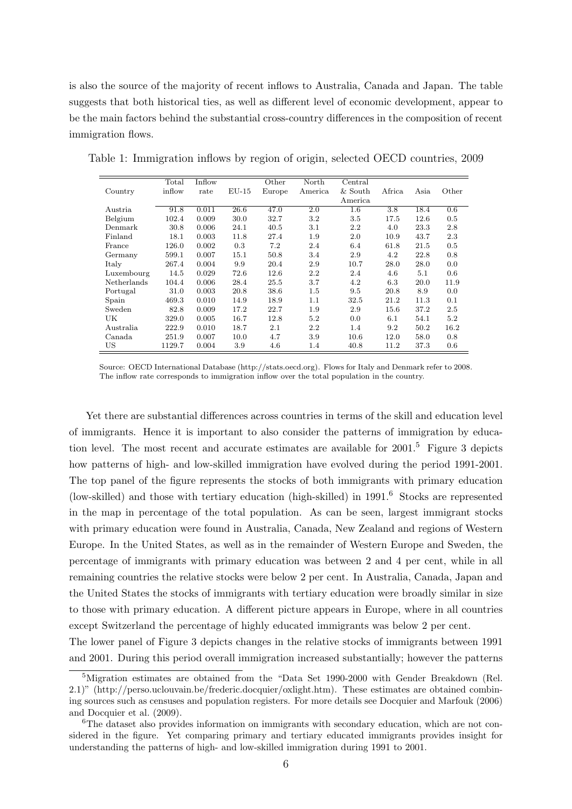is also the source of the majority of recent inflows to Australia, Canada and Japan. The table suggests that both historical ties, as well as different level of economic development, appear to be the main factors behind the substantial cross-country differences in the composition of recent immigration flows.

|             | $_{\rm Total}$ | Inflow |         | Other   | North   | Central |        |      |       |
|-------------|----------------|--------|---------|---------|---------|---------|--------|------|-------|
| Country     | inflow         | rate   | $EU-15$ | Europe  | America | & South | Africa | Asia | Other |
|             |                |        |         |         |         | America |        |      |       |
| Austria     | 91.8           | 0.011  | 26.6    | 47.0    | 2.0     | 1.6     | 3.8    | 18.4 | 0.6   |
| Belgium     | 102.4          | 0.009  | 30.0    | 32.7    | 3.2     | 3.5     | 17.5   | 12.6 | 0.5   |
| Denmark     | 30.8           | 0.006  | 24.1    | 40.5    | 3.1     | 2.2     | 4.0    | 23.3 | 2.8   |
| Finland     | 18.1           | 0.003  | 11.8    | 27.4    | 1.9     | 2.0     | 10.9   | 43.7 | 2.3   |
| France      | 126.0          | 0.002  | 0.3     | 7.2     | 2.4     | 6.4     | 61.8   | 21.5 | 0.5   |
| Germany     | 599.1          | 0.007  | 15.1    | 50.8    | 3.4     | 2.9     | 4.2    | 22.8 | 0.8   |
| Italy       | 267.4          | 0.004  | 9.9     | 20.4    | 2.9     | 10.7    | 28.0   | 28.0 | 0.0   |
| Luxembourg  | 14.5           | 0.029  | 72.6    | 12.6    | 2.2     | 2.4     | 4.6    | 5.1  | 0.6   |
| Netherlands | 104.4          | 0.006  | 28.4    | 25.5    | 3.7     | 4.2     | 6.3    | 20.0 | 11.9  |
| Portugal    | 31.0           | 0.003  | 20.8    | 38.6    | 1.5     | 9.5     | 20.8   | 8.9  | 0.0   |
| Spain       | 469.3          | 0.010  | 14.9    | 18.9    | 1.1     | 32.5    | 21.2   | 11.3 | 0.1   |
| Sweden      | 82.8           | 0.009  | 17.2    | 22.7    | 1.9     | 2.9     | 15.6   | 37.2 | 2.5   |
| UK          | 329.0          | 0.005  | 16.7    | 12.8    | 5.2     | 0.0     | 6.1    | 54.1 | 5.2   |
| Australia   | 222.9          | 0.010  | 18.7    | $2.1\,$ | 2.2     | 1.4     | 9.2    | 50.2 | 16.2  |
| Canada      | 251.9          | 0.007  | 10.0    | 4.7     | 3.9     | 10.6    | 12.0   | 58.0 | 0.8   |
| US          | 1129.7         | 0.004  | 3.9     | 4.6     | 1.4     | 40.8    | 11.2   | 37.3 | 0.6   |

Table 1: Immigration inflows by region of origin, selected OECD countries, 2009

Source: OECD International Database [\(http://stats.oecd.org\)](http://stats.oecd.org). Flows for Italy and Denmark refer to 2008. The inflow rate corresponds to immigration inflow over the total population in the country.

Yet there are substantial differences across countries in terms of the skill and education level of immigrants. Hence it is important to also consider the patterns of immigration by education level. The most recent and accurate estimates are available for  $2001$ <sup>[5](#page-7-0)</sup>. Figure [3](#page-8-0) depicts how patterns of high- and low-skilled immigration have evolved during the period 1991-2001. The top panel of the figure represents the stocks of both immigrants with primary education (low-skilled) and those with tertiary education (high-skilled) in  $1991<sup>6</sup>$  $1991<sup>6</sup>$  $1991<sup>6</sup>$  Stocks are represented in the map in percentage of the total population. As can be seen, largest immigrant stocks with primary education were found in Australia, Canada, New Zealand and regions of Western Europe. In the United States, as well as in the remainder of Western Europe and Sweden, the percentage of immigrants with primary education was between 2 and 4 per cent, while in all remaining countries the relative stocks were below 2 per cent. In Australia, Canada, Japan and the United States the stocks of immigrants with tertiary education were broadly similar in size to those with primary education. A different picture appears in Europe, where in all countries except Switzerland the percentage of highly educated immigrants was below 2 per cent.

The lower panel of Figure [3](#page-8-0) depicts changes in the relative stocks of immigrants between 1991 and 2001. During this period overall immigration increased substantially; however the patterns

<span id="page-7-0"></span><sup>5</sup>Migration estimates are obtained from the "Data Set 1990-2000 with Gender Breakdown (Rel. 2.1)" [\(http://perso.uclouvain.be/frederic.docquier/oxlight.htm\)](http://perso.uclouvain.be/frederic.docquier/oxlight.htm). These estimates are obtained combining sources such as censuses and population registers. For more details see [Docquier and Marfouk](#page-18-2) [\(2006\)](#page-18-2) and [Docquier et al.](#page-18-3) [\(2009\)](#page-18-3).

<span id="page-7-1"></span><sup>&</sup>lt;sup>6</sup>The dataset also provides information on immigrants with secondary education, which are not considered in the figure. Yet comparing primary and tertiary educated immigrants provides insight for understanding the patterns of high- and low-skilled immigration during 1991 to 2001.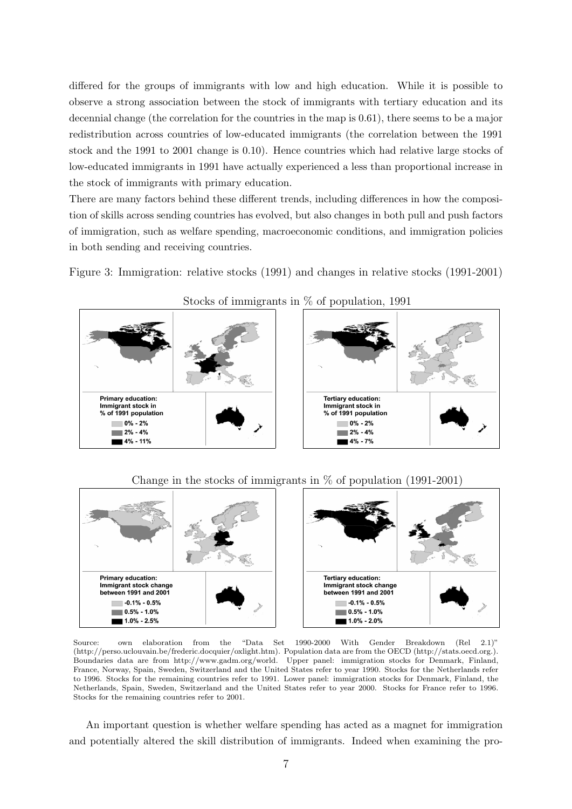differed for the groups of immigrants with low and high education. While it is possible to observe a strong association between the stock of immigrants with tertiary education and its decennial change (the correlation for the countries in the map is 0.61), there seems to be a major redistribution across countries of low-educated immigrants (the correlation between the 1991 stock and the 1991 to 2001 change is 0.10). Hence countries which had relative large stocks of low-educated immigrants in 1991 have actually experienced a less than proportional increase in the stock of immigrants with primary education.

There are many factors behind these different trends, including differences in how the composition of skills across sending countries has evolved, but also changes in both pull and push factors of immigration, such as welfare spending, macroeconomic conditions, and immigration policies in both sending and receiving countries.

<span id="page-8-0"></span>Figure 3: Immigration: relative stocks (1991) and changes in relative stocks (1991-2001)



Change in the stocks of immigrants in  $\%$  of population (1991-2001)



Source: own elaboration from the "Data Set 1990-2000 With Gender Breakdown (Rel 2.1)" [\(http://perso.uclouvain.be/frederic.docquier/oxlight.htm\)](http://perso.uclouvain.be/frederic.docquier/oxlight.htm). Population data are from the OECD [\(http://stats.oecd.org.](http://stats.oecd.org)). Boundaries data are from http://www.gadm.org/world. Upper panel: immigration stocks for Denmark, Finland, France, Norway, Spain, Sweden, Switzerland and the United States refer to year 1990. Stocks for the Netherlands refer to 1996. Stocks for the remaining countries refer to 1991. Lower panel: immigration stocks for Denmark, Finland, the Netherlands, Spain, Sweden, Switzerland and the United States refer to year 2000. Stocks for France refer to 1996. Stocks for the remaining countries refer to 2001.

An important question is whether welfare spending has acted as a magnet for immigration and potentially altered the skill distribution of immigrants. Indeed when examining the pro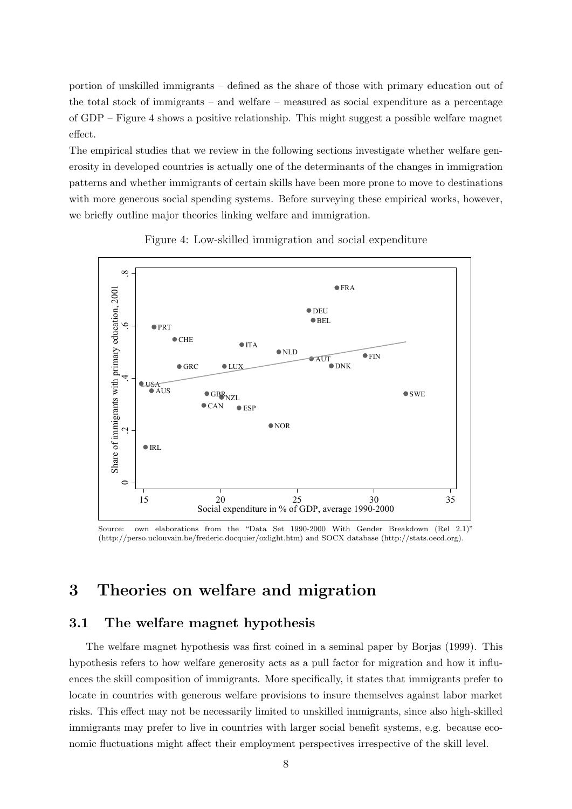portion of unskilled immigrants – defined as the share of those with primary education out of the total stock of immigrants – and welfare – measured as social expenditure as a percentage of GDP – Figure 4 shows a positive relationship. This might suggest a possible welfare magnet effect.

The empirical studies that we review in the following sections investigate whether welfare generosity in developed countries is actually one of the determinants of the changes in immigration patterns and whether immigrants of certain skills have been more prone to move to destinations with more generous social spending systems. Before surveying these empirical works, however, we briefly outline major theories linking welfare and immigration.



Figure 4: Low-skilled immigration and social expenditure

Source: own elaborations from the "Data Set 1990-2000 With Gender Breakdown (Rel 2.1)" [\(http://perso.uclouvain.be/frederic.docquier/oxlight.htm\)](http://perso.uclouvain.be/frederic.docquier/oxlight.htm) and SOCX database (http://stats.oecd.org).

### 3 Theories on welfare and migration

#### 3.1 The welfare magnet hypothesis

The welfare magnet hypothesis was first coined in a seminal paper by [Borjas](#page-17-0) [\(1999\)](#page-17-0). This hypothesis refers to how welfare generosity acts as a pull factor for migration and how it influences the skill composition of immigrants. More specifically, it states that immigrants prefer to locate in countries with generous welfare provisions to insure themselves against labor market risks. This effect may not be necessarily limited to unskilled immigrants, since also high-skilled immigrants may prefer to live in countries with larger social benefit systems, e.g. because economic fluctuations might affect their employment perspectives irrespective of the skill level.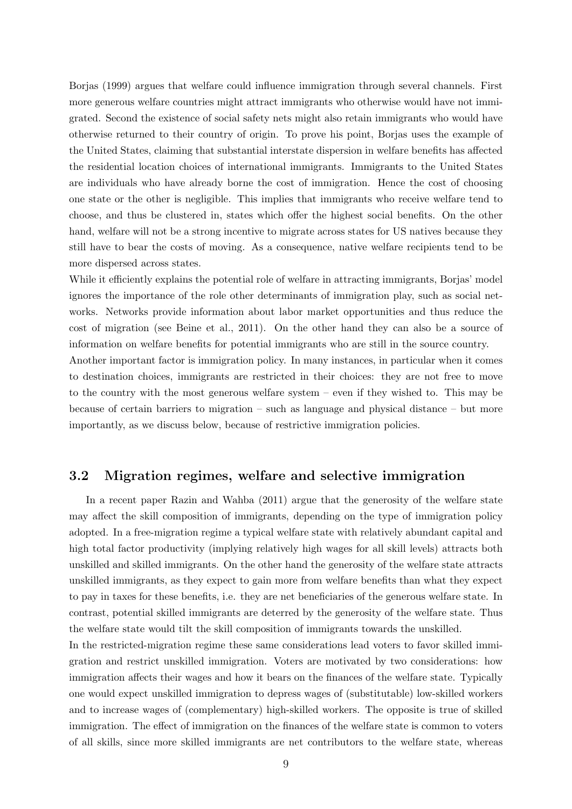[Borjas](#page-17-0) [\(1999\)](#page-17-0) argues that welfare could influence immigration through several channels. First more generous welfare countries might attract immigrants who otherwise would have not immigrated. Second the existence of social safety nets might also retain immigrants who would have otherwise returned to their country of origin. To prove his point, Borjas uses the example of the United States, claiming that substantial interstate dispersion in welfare benefits has affected the residential location choices of international immigrants. Immigrants to the United States are individuals who have already borne the cost of immigration. Hence the cost of choosing one state or the other is negligible. This implies that immigrants who receive welfare tend to choose, and thus be clustered in, states which offer the highest social benefits. On the other hand, welfare will not be a strong incentive to migrate across states for US natives because they still have to bear the costs of moving. As a consequence, native welfare recipients tend to be more dispersed across states.

While it efficiently explains the potential role of welfare in attracting immigrants, Borjas' model ignores the importance of the role other determinants of immigration play, such as social networks. Networks provide information about labor market opportunities and thus reduce the cost of migration (see [Beine et al.,](#page-17-5) [2011\)](#page-17-5). On the other hand they can also be a source of information on welfare benefits for potential immigrants who are still in the source country. Another important factor is immigration policy. In many instances, in particular when it comes

to destination choices, immigrants are restricted in their choices: they are not free to move to the country with the most generous welfare system – even if they wished to. This may be because of certain barriers to migration – such as language and physical distance – but more importantly, as we discuss below, because of restrictive immigration policies.

#### 3.2 Migration regimes, welfare and selective immigration

In a recent paper [Razin and Wahba](#page-19-0) [\(2011\)](#page-19-0) argue that the generosity of the welfare state may affect the skill composition of immigrants, depending on the type of immigration policy adopted. In a free-migration regime a typical welfare state with relatively abundant capital and high total factor productivity (implying relatively high wages for all skill levels) attracts both unskilled and skilled immigrants. On the other hand the generosity of the welfare state attracts unskilled immigrants, as they expect to gain more from welfare benefits than what they expect to pay in taxes for these benefits, i.e. they are net beneficiaries of the generous welfare state. In contrast, potential skilled immigrants are deterred by the generosity of the welfare state. Thus the welfare state would tilt the skill composition of immigrants towards the unskilled.

In the restricted-migration regime these same considerations lead voters to favor skilled immigration and restrict unskilled immigration. Voters are motivated by two considerations: how immigration affects their wages and how it bears on the finances of the welfare state. Typically one would expect unskilled immigration to depress wages of (substitutable) low-skilled workers and to increase wages of (complementary) high-skilled workers. The opposite is true of skilled immigration. The effect of immigration on the finances of the welfare state is common to voters of all skills, since more skilled immigrants are net contributors to the welfare state, whereas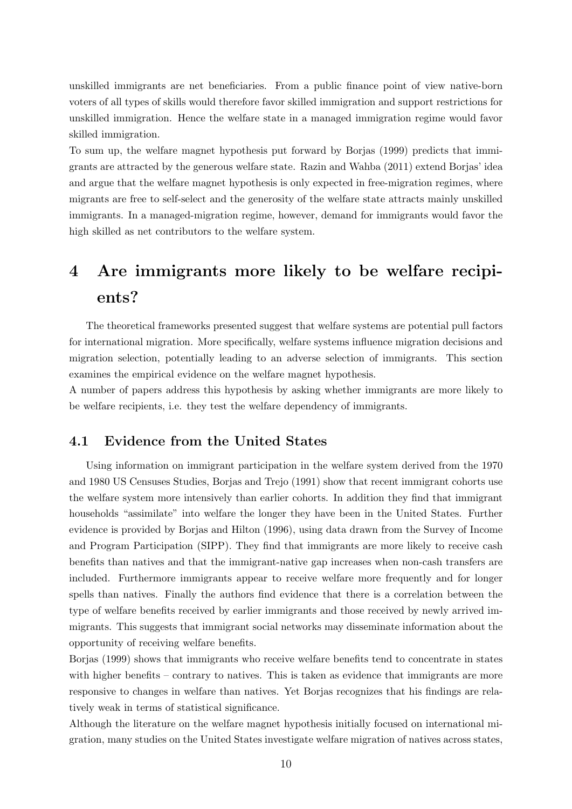unskilled immigrants are net beneficiaries. From a public finance point of view native-born voters of all types of skills would therefore favor skilled immigration and support restrictions for unskilled immigration. Hence the welfare state in a managed immigration regime would favor skilled immigration.

To sum up, the welfare magnet hypothesis put forward by [Borjas](#page-17-0) [\(1999\)](#page-17-0) predicts that immigrants are attracted by the generous welfare state. [Razin and Wahba](#page-19-0) [\(2011\)](#page-19-0) extend Borjas' idea and argue that the welfare magnet hypothesis is only expected in free-migration regimes, where migrants are free to self-select and the generosity of the welfare state attracts mainly unskilled immigrants. In a managed-migration regime, however, demand for immigrants would favor the high skilled as net contributors to the welfare system.

## 4 Are immigrants more likely to be welfare recipients?

The theoretical frameworks presented suggest that welfare systems are potential pull factors for international migration. More specifically, welfare systems influence migration decisions and migration selection, potentially leading to an adverse selection of immigrants. This section examines the empirical evidence on the welfare magnet hypothesis.

A number of papers address this hypothesis by asking whether immigrants are more likely to be welfare recipients, i.e. they test the welfare dependency of immigrants.

#### 4.1 Evidence from the United States

Using information on immigrant participation in the welfare system derived from the 1970 and 1980 US Censuses Studies, [Borjas and Trejo](#page-17-6) [\(1991\)](#page-17-6) show that recent immigrant cohorts use the welfare system more intensively than earlier cohorts. In addition they find that immigrant households "assimilate" into welfare the longer they have been in the United States. Further evidence is provided by [Borjas and Hilton](#page-17-7) [\(1996\)](#page-17-7), using data drawn from the Survey of Income and Program Participation (SIPP). They find that immigrants are more likely to receive cash benefits than natives and that the immigrant-native gap increases when non-cash transfers are included. Furthermore immigrants appear to receive welfare more frequently and for longer spells than natives. Finally the authors find evidence that there is a correlation between the type of welfare benefits received by earlier immigrants and those received by newly arrived immigrants. This suggests that immigrant social networks may disseminate information about the opportunity of receiving welfare benefits.

[Borjas](#page-17-0) [\(1999\)](#page-17-0) shows that immigrants who receive welfare benefits tend to concentrate in states with higher benefits – contrary to natives. This is taken as evidence that immigrants are more responsive to changes in welfare than natives. Yet Borjas recognizes that his findings are relatively weak in terms of statistical significance.

Although the literature on the welfare magnet hypothesis initially focused on international migration, many studies on the United States investigate welfare migration of natives across states,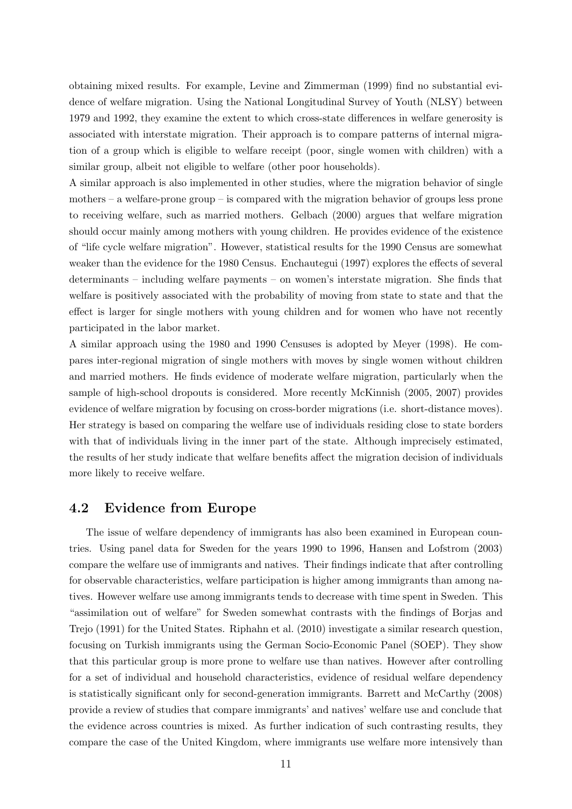obtaining mixed results. For example, [Levine and Zimmerman](#page-18-4) [\(1999\)](#page-18-4) find no substantial evidence of welfare migration. Using the National Longitudinal Survey of Youth (NLSY) between 1979 and 1992, they examine the extent to which cross-state differences in welfare generosity is associated with interstate migration. Their approach is to compare patterns of internal migration of a group which is eligible to welfare receipt (poor, single women with children) with a similar group, albeit not eligible to welfare (other poor households).

A similar approach is also implemented in other studies, where the migration behavior of single mothers – a welfare-prone group – is compared with the migration behavior of groups less prone to receiving welfare, such as married mothers. [Gelbach](#page-18-5) [\(2000\)](#page-18-5) argues that welfare migration should occur mainly among mothers with young children. He provides evidence of the existence of "life cycle welfare migration". However, statistical results for the 1990 Census are somewhat weaker than the evidence for the 1980 Census. [Enchautegui](#page-18-6) [\(1997\)](#page-18-6) explores the effects of several determinants – including welfare payments – on women's interstate migration. She finds that welfare is positively associated with the probability of moving from state to state and that the effect is larger for single mothers with young children and for women who have not recently participated in the labor market.

A similar approach using the 1980 and 1990 Censuses is adopted by [Meyer](#page-18-7) [\(1998\)](#page-18-7). He compares inter-regional migration of single mothers with moves by single women without children and married mothers. He finds evidence of moderate welfare migration, particularly when the sample of high-school dropouts is considered. More recently [McKinnish](#page-18-8) [\(2005,](#page-18-8) [2007\)](#page-18-9) provides evidence of welfare migration by focusing on cross-border migrations (i.e. short-distance moves). Her strategy is based on comparing the welfare use of individuals residing close to state borders with that of individuals living in the inner part of the state. Although imprecisely estimated, the results of her study indicate that welfare benefits affect the migration decision of individuals more likely to receive welfare.

#### 4.2 Evidence from Europe

The issue of welfare dependency of immigrants has also been examined in European countries. Using panel data for Sweden for the years 1990 to 1996, [Hansen and Lofstrom](#page-18-10) [\(2003\)](#page-18-10) compare the welfare use of immigrants and natives. Their findings indicate that after controlling for observable characteristics, welfare participation is higher among immigrants than among natives. However welfare use among immigrants tends to decrease with time spent in Sweden. This "assimilation out of welfare" for Sweden somewhat contrasts with the findings of [Borjas and](#page-17-6) [Trejo](#page-17-6) [\(1991\)](#page-17-6) for the United States. [Riphahn et al.](#page-19-1) [\(2010\)](#page-19-1) investigate a similar research question, focusing on Turkish immigrants using the German Socio-Economic Panel (SOEP). They show that this particular group is more prone to welfare use than natives. However after controlling for a set of individual and household characteristics, evidence of residual welfare dependency is statistically significant only for second-generation immigrants. [Barrett and McCarthy](#page-17-8) [\(2008\)](#page-17-8) provide a review of studies that compare immigrants' and natives' welfare use and conclude that the evidence across countries is mixed. As further indication of such contrasting results, they compare the case of the United Kingdom, where immigrants use welfare more intensively than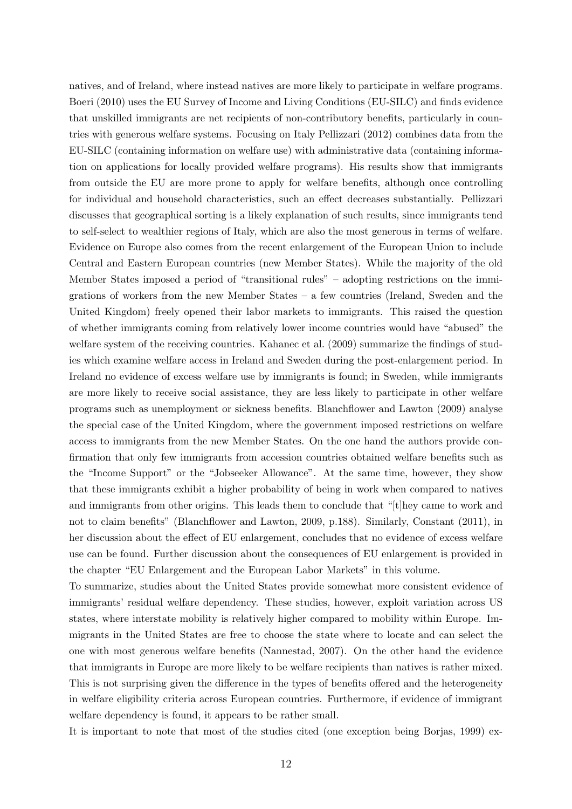natives, and of Ireland, where instead natives are more likely to participate in welfare programs. [Boeri](#page-17-1) [\(2010\)](#page-17-1) uses the EU Survey of Income and Living Conditions (EU-SILC) and finds evidence that unskilled immigrants are net recipients of non-contributory benefits, particularly in countries with generous welfare systems. Focusing on Italy [Pellizzari](#page-19-2) [\(2012\)](#page-19-2) combines data from the EU-SILC (containing information on welfare use) with administrative data (containing information on applications for locally provided welfare programs). His results show that immigrants from outside the EU are more prone to apply for welfare benefits, although once controlling for individual and household characteristics, such an effect decreases substantially. Pellizzari discusses that geographical sorting is a likely explanation of such results, since immigrants tend to self-select to wealthier regions of Italy, which are also the most generous in terms of welfare. Evidence on Europe also comes from the recent enlargement of the European Union to include Central and Eastern European countries (new Member States). While the majority of the old Member States imposed a period of "transitional rules" – adopting restrictions on the immigrations of workers from the new Member States – a few countries (Ireland, Sweden and the United Kingdom) freely opened their labor markets to immigrants. This raised the question of whether immigrants coming from relatively lower income countries would have "abused" the welfare system of the receiving countries. [Kahanec et al.](#page-18-11) [\(2009\)](#page-18-11) summarize the findings of studies which examine welfare access in Ireland and Sweden during the post-enlargement period. In Ireland no evidence of excess welfare use by immigrants is found; in Sweden, while immigrants are more likely to receive social assistance, they are less likely to participate in other welfare programs such as unemployment or sickness benefits. [Blanchflower and Lawton](#page-17-9) [\(2009\)](#page-17-9) analyse the special case of the United Kingdom, where the government imposed restrictions on welfare access to immigrants from the new Member States. On the one hand the authors provide confirmation that only few immigrants from accession countries obtained welfare benefits such as the "Income Support" or the "Jobseeker Allowance". At the same time, however, they show that these immigrants exhibit a higher probability of being in work when compared to natives and immigrants from other origins. This leads them to conclude that "[t]hey came to work and not to claim benefits" [\(Blanchflower and Lawton,](#page-17-9) [2009,](#page-17-9) p.188). Similarly, [Constant](#page-17-10) [\(2011\)](#page-17-10), in her discussion about the effect of EU enlargement, concludes that no evidence of excess welfare use can be found. Further discussion about the consequences of EU enlargement is provided in the chapter "EU Enlargement and the European Labor Markets" in this volume.

To summarize, studies about the United States provide somewhat more consistent evidence of immigrants' residual welfare dependency. These studies, however, exploit variation across US states, where interstate mobility is relatively higher compared to mobility within Europe. Immigrants in the United States are free to choose the state where to locate and can select the one with most generous welfare benefits [\(Nannestad,](#page-19-3) [2007\)](#page-19-3). On the other hand the evidence that immigrants in Europe are more likely to be welfare recipients than natives is rather mixed. This is not surprising given the difference in the types of benefits offered and the heterogeneity in welfare eligibility criteria across European countries. Furthermore, if evidence of immigrant welfare dependency is found, it appears to be rather small.

It is important to note that most of the studies cited (one exception being [Borjas,](#page-17-0) [1999\)](#page-17-0) ex-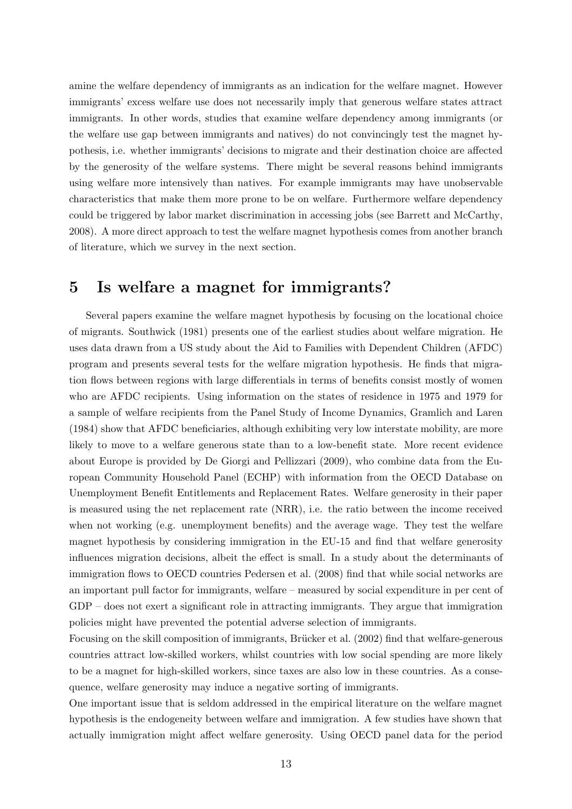amine the welfare dependency of immigrants as an indication for the welfare magnet. However immigrants' excess welfare use does not necessarily imply that generous welfare states attract immigrants. In other words, studies that examine welfare dependency among immigrants (or the welfare use gap between immigrants and natives) do not convincingly test the magnet hypothesis, i.e. whether immigrants' decisions to migrate and their destination choice are affected by the generosity of the welfare systems. There might be several reasons behind immigrants using welfare more intensively than natives. For example immigrants may have unobservable characteristics that make them more prone to be on welfare. Furthermore welfare dependency could be triggered by labor market discrimination in accessing jobs (see [Barrett and McCarthy,](#page-17-8) [2008\)](#page-17-8). A more direct approach to test the welfare magnet hypothesis comes from another branch of literature, which we survey in the next section.

### 5 Is welfare a magnet for immigrants?

Several papers examine the welfare magnet hypothesis by focusing on the locational choice of migrants. [Southwick](#page-19-4) [\(1981\)](#page-19-4) presents one of the earliest studies about welfare migration. He uses data drawn from a US study about the Aid to Families with Dependent Children (AFDC) program and presents several tests for the welfare migration hypothesis. He finds that migration flows between regions with large differentials in terms of benefits consist mostly of women who are AFDC recipients. Using information on the states of residence in 1975 and 1979 for a sample of welfare recipients from the Panel Study of Income Dynamics, [Gramlich and Laren](#page-18-12) [\(1984\)](#page-18-12) show that AFDC beneficiaries, although exhibiting very low interstate mobility, are more likely to move to a welfare generous state than to a low-benefit state. More recent evidence about Europe is provided by [De Giorgi and Pellizzari](#page-17-4) [\(2009\)](#page-17-4), who combine data from the European Community Household Panel (ECHP) with information from the OECD Database on Unemployment Benefit Entitlements and Replacement Rates. Welfare generosity in their paper is measured using the net replacement rate (NRR), i.e. the ratio between the income received when not working (e.g. unemployment benefits) and the average wage. They test the welfare magnet hypothesis by considering immigration in the EU-15 and find that welfare generosity influences migration decisions, albeit the effect is small. In a study about the determinants of immigration flows to OECD countries [Pedersen et al.](#page-19-5) [\(2008\)](#page-19-5) find that while social networks are an important pull factor for immigrants, welfare – measured by social expenditure in per cent of GDP – does not exert a significant role in attracting immigrants. They argue that immigration policies might have prevented the potential adverse selection of immigrants.

Focusing on the skill composition of immigrants, Brücker et al. [\(2002\)](#page-17-11) find that welfare-generous countries attract low-skilled workers, whilst countries with low social spending are more likely to be a magnet for high-skilled workers, since taxes are also low in these countries. As a consequence, welfare generosity may induce a negative sorting of immigrants.

One important issue that is seldom addressed in the empirical literature on the welfare magnet hypothesis is the endogeneity between welfare and immigration. A few studies have shown that actually immigration might affect welfare generosity. Using OECD panel data for the period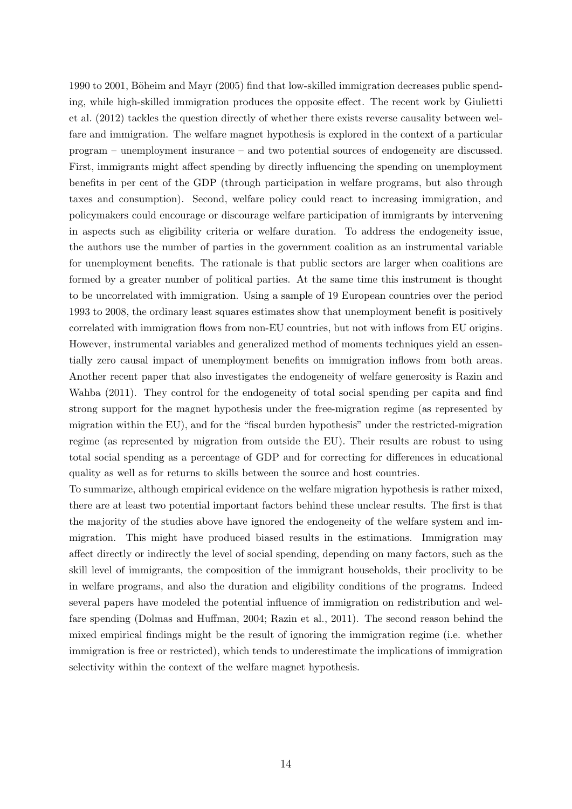1990 to 2001, Böheim and Mayr [\(2005\)](#page-17-12) find that low-skilled immigration decreases public spending, while high-skilled immigration produces the opposite effect. The recent work by [Giulietti](#page-18-13) [et al.](#page-18-13) [\(2012\)](#page-18-13) tackles the question directly of whether there exists reverse causality between welfare and immigration. The welfare magnet hypothesis is explored in the context of a particular program – unemployment insurance – and two potential sources of endogeneity are discussed. First, immigrants might affect spending by directly influencing the spending on unemployment benefits in per cent of the GDP (through participation in welfare programs, but also through taxes and consumption). Second, welfare policy could react to increasing immigration, and policymakers could encourage or discourage welfare participation of immigrants by intervening in aspects such as eligibility criteria or welfare duration. To address the endogeneity issue, the authors use the number of parties in the government coalition as an instrumental variable for unemployment benefits. The rationale is that public sectors are larger when coalitions are formed by a greater number of political parties. At the same time this instrument is thought to be uncorrelated with immigration. Using a sample of 19 European countries over the period 1993 to 2008, the ordinary least squares estimates show that unemployment benefit is positively correlated with immigration flows from non-EU countries, but not with inflows from EU origins. However, instrumental variables and generalized method of moments techniques yield an essentially zero causal impact of unemployment benefits on immigration inflows from both areas. Another recent paper that also investigates the endogeneity of welfare generosity is [Razin and](#page-19-0) [Wahba](#page-19-0) [\(2011\)](#page-19-0). They control for the endogeneity of total social spending per capita and find strong support for the magnet hypothesis under the free-migration regime (as represented by migration within the EU), and for the "fiscal burden hypothesis" under the restricted-migration regime (as represented by migration from outside the EU). Their results are robust to using total social spending as a percentage of GDP and for correcting for differences in educational quality as well as for returns to skills between the source and host countries.

To summarize, although empirical evidence on the welfare migration hypothesis is rather mixed, there are at least two potential important factors behind these unclear results. The first is that the majority of the studies above have ignored the endogeneity of the welfare system and immigration. This might have produced biased results in the estimations. Immigration may affect directly or indirectly the level of social spending, depending on many factors, such as the skill level of immigrants, the composition of the immigrant households, their proclivity to be in welfare programs, and also the duration and eligibility conditions of the programs. Indeed several papers have modeled the potential influence of immigration on redistribution and welfare spending [\(Dolmas and Huffman,](#page-18-14) [2004;](#page-18-14) [Razin et al.,](#page-19-6) [2011\)](#page-19-6). The second reason behind the mixed empirical findings might be the result of ignoring the immigration regime (i.e. whether immigration is free or restricted), which tends to underestimate the implications of immigration selectivity within the context of the welfare magnet hypothesis.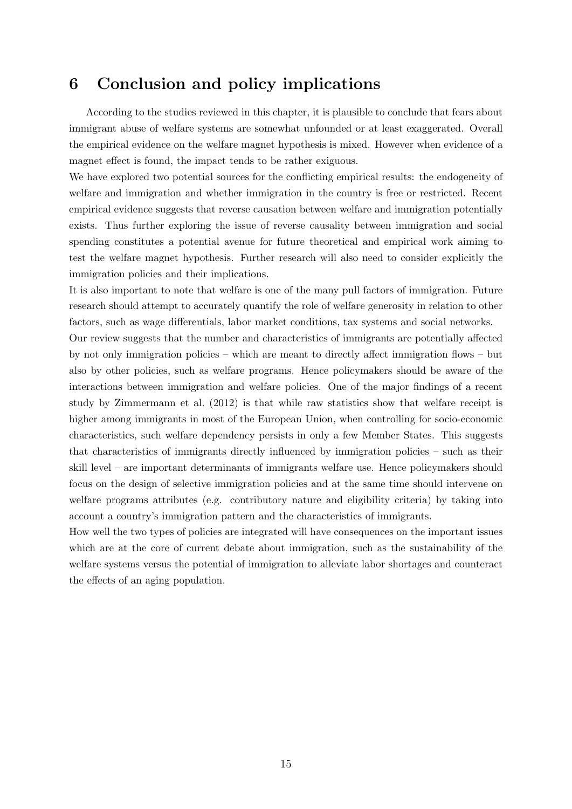## 6 Conclusion and policy implications

According to the studies reviewed in this chapter, it is plausible to conclude that fears about immigrant abuse of welfare systems are somewhat unfounded or at least exaggerated. Overall the empirical evidence on the welfare magnet hypothesis is mixed. However when evidence of a magnet effect is found, the impact tends to be rather exiguous.

We have explored two potential sources for the conflicting empirical results: the endogeneity of welfare and immigration and whether immigration in the country is free or restricted. Recent empirical evidence suggests that reverse causation between welfare and immigration potentially exists. Thus further exploring the issue of reverse causality between immigration and social spending constitutes a potential avenue for future theoretical and empirical work aiming to test the welfare magnet hypothesis. Further research will also need to consider explicitly the immigration policies and their implications.

It is also important to note that welfare is one of the many pull factors of immigration. Future research should attempt to accurately quantify the role of welfare generosity in relation to other factors, such as wage differentials, labor market conditions, tax systems and social networks.

Our review suggests that the number and characteristics of immigrants are potentially affected by not only immigration policies – which are meant to directly affect immigration flows – but also by other policies, such as welfare programs. Hence policymakers should be aware of the interactions between immigration and welfare policies. One of the major findings of a recent study by [Zimmermann et al.](#page-19-7) [\(2012\)](#page-19-7) is that while raw statistics show that welfare receipt is higher among immigrants in most of the European Union, when controlling for socio-economic characteristics, such welfare dependency persists in only a few Member States. This suggests that characteristics of immigrants directly influenced by immigration policies – such as their skill level – are important determinants of immigrants welfare use. Hence policymakers should focus on the design of selective immigration policies and at the same time should intervene on welfare programs attributes (e.g. contributory nature and eligibility criteria) by taking into account a country's immigration pattern and the characteristics of immigrants.

How well the two types of policies are integrated will have consequences on the important issues which are at the core of current debate about immigration, such as the sustainability of the welfare systems versus the potential of immigration to alleviate labor shortages and counteract the effects of an aging population.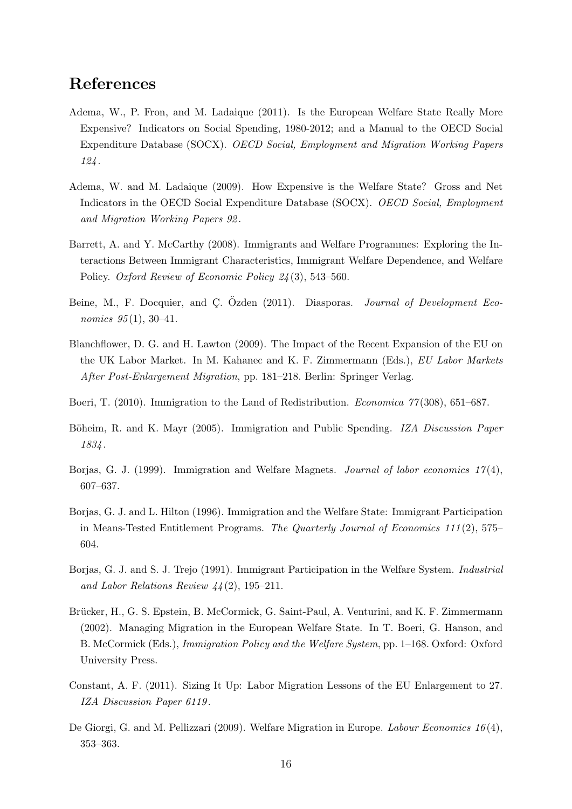## References

- <span id="page-17-3"></span>Adema, W., P. Fron, and M. Ladaique (2011). Is the European Welfare State Really More Expensive? Indicators on Social Spending, 1980-2012; and a Manual to the OECD Social Expenditure Database (SOCX). OECD Social, Employment and Migration Working Papers 124 .
- <span id="page-17-2"></span>Adema, W. and M. Ladaique (2009). How Expensive is the Welfare State? Gross and Net Indicators in the OECD Social Expenditure Database (SOCX). OECD Social, Employment and Migration Working Papers 92 .
- <span id="page-17-8"></span>Barrett, A. and Y. McCarthy (2008). Immigrants and Welfare Programmes: Exploring the Interactions Between Immigrant Characteristics, Immigrant Welfare Dependence, and Welfare Policy. Oxford Review of Economic Policy 24 (3), 543–560.
- <span id="page-17-5"></span>Beine, M., F. Docquier, and C. Ozden (2011). Diasporas. Journal of Development Economics  $95(1), 30-41$ .
- <span id="page-17-9"></span>Blanchflower, D. G. and H. Lawton (2009). The Impact of the Recent Expansion of the EU on the UK Labor Market. In M. Kahanec and K. F. Zimmermann (Eds.), EU Labor Markets After Post-Enlargement Migration, pp. 181–218. Berlin: Springer Verlag.
- <span id="page-17-1"></span>Boeri, T. (2010). Immigration to the Land of Redistribution. *Economica* 77(308), 651–687.
- <span id="page-17-12"></span>Böheim, R. and K. Mayr (2005). Immigration and Public Spending. IZA Discussion Paper 1834 .
- <span id="page-17-0"></span>Borjas, G. J. (1999). Immigration and Welfare Magnets. *Journal of labor economics*  $17(4)$ , 607–637.
- <span id="page-17-7"></span>Borjas, G. J. and L. Hilton (1996). Immigration and the Welfare State: Immigrant Participation in Means-Tested Entitlement Programs. The Quarterly Journal of Economics 111 (2), 575– 604.
- <span id="page-17-6"></span>Borjas, G. J. and S. J. Trejo (1991). Immigrant Participation in the Welfare System. Industrial and Labor Relations Review  $44(2)$ , 195-211.
- <span id="page-17-11"></span>Brücker, H., G. S. Epstein, B. McCormick, G. Saint-Paul, A. Venturini, and K. F. Zimmermann (2002). Managing Migration in the European Welfare State. In T. Boeri, G. Hanson, and B. McCormick (Eds.), Immigration Policy and the Welfare System, pp. 1–168. Oxford: Oxford University Press.
- <span id="page-17-10"></span>Constant, A. F. (2011). Sizing It Up: Labor Migration Lessons of the EU Enlargement to 27. IZA Discussion Paper 6119 .
- <span id="page-17-4"></span>De Giorgi, G. and M. Pellizzari (2009). Welfare Migration in Europe. Labour Economics 16(4), 353–363.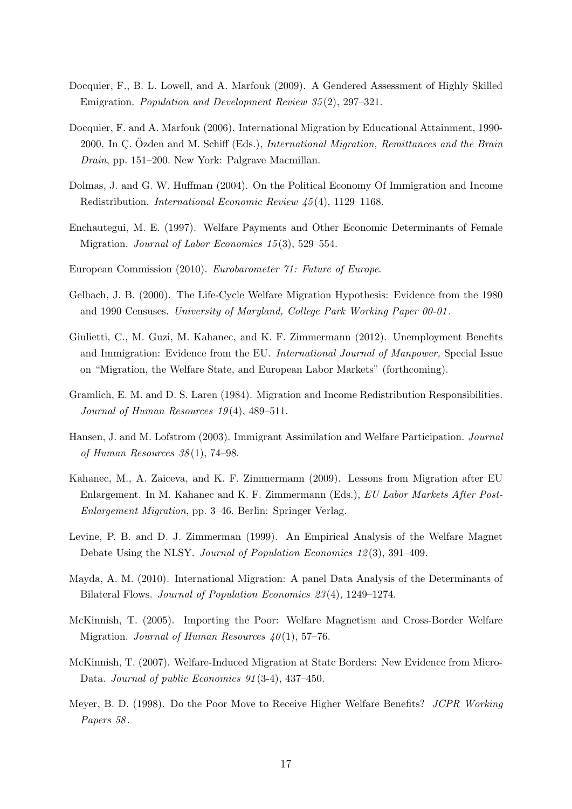- <span id="page-18-3"></span>Docquier, F., B. L. Lowell, and A. Marfouk (2009). A Gendered Assessment of Highly Skilled Emigration. Population and Development Review 35 (2), 297–321.
- <span id="page-18-2"></span>Docquier, F. and A. Marfouk (2006). International Migration by Educational Attainment, 1990- 2000. In C. Ozden and M. Schiff (Eds.), International Migration, Remittances and the Brain Drain, pp. 151–200. New York: Palgrave Macmillan.
- <span id="page-18-14"></span>Dolmas, J. and G. W. Huffman (2004). On the Political Economy Of Immigration and Income Redistribution. International Economic Review 45 (4), 1129–1168.
- <span id="page-18-6"></span>Enchautegui, M. E. (1997). Welfare Payments and Other Economic Determinants of Female Migration. Journal of Labor Economics 15 (3), 529–554.
- <span id="page-18-1"></span>European Commission (2010). Eurobarometer 71: Future of Europe.
- <span id="page-18-5"></span>Gelbach, J. B. (2000). The Life-Cycle Welfare Migration Hypothesis: Evidence from the 1980 and 1990 Censuses. University of Maryland, College Park Working Paper 00-01 .
- <span id="page-18-13"></span>Giulietti, C., M. Guzi, M. Kahanec, and K. F. Zimmermann (2012). Unemployment Benefits and Immigration: Evidence from the EU. International Journal of Manpower, Special Issue on "Migration, the Welfare State, and European Labor Markets" (forthcoming).
- <span id="page-18-12"></span>Gramlich, E. M. and D. S. Laren (1984). Migration and Income Redistribution Responsibilities. Journal of Human Resources  $19(4)$ , 489-511.
- <span id="page-18-10"></span>Hansen, J. and M. Lofstrom (2003). Immigrant Assimilation and Welfare Participation. Journal of Human Resources  $38(1)$ , 74–98.
- <span id="page-18-11"></span>Kahanec, M., A. Zaiceva, and K. F. Zimmermann (2009). Lessons from Migration after EU Enlargement. In M. Kahanec and K. F. Zimmermann (Eds.), EU Labor Markets After Post-Enlargement Migration, pp. 3–46. Berlin: Springer Verlag.
- <span id="page-18-4"></span>Levine, P. B. and D. J. Zimmerman (1999). An Empirical Analysis of the Welfare Magnet Debate Using the NLSY. Journal of Population Economics 12 (3), 391–409.
- <span id="page-18-0"></span>Mayda, A. M. (2010). International Migration: A panel Data Analysis of the Determinants of Bilateral Flows. Journal of Population Economics 23 (4), 1249–1274.
- <span id="page-18-8"></span>McKinnish, T. (2005). Importing the Poor: Welfare Magnetism and Cross-Border Welfare Migration. Journal of Human Resources  $40(1)$ , 57-76.
- <span id="page-18-9"></span>McKinnish, T. (2007). Welfare-Induced Migration at State Borders: New Evidence from Micro-Data. Journal of public Economics 91(3-4), 437-450.
- <span id="page-18-7"></span>Meyer, B. D. (1998). Do the Poor Move to Receive Higher Welfare Benefits? JCPR Working Papers 58.